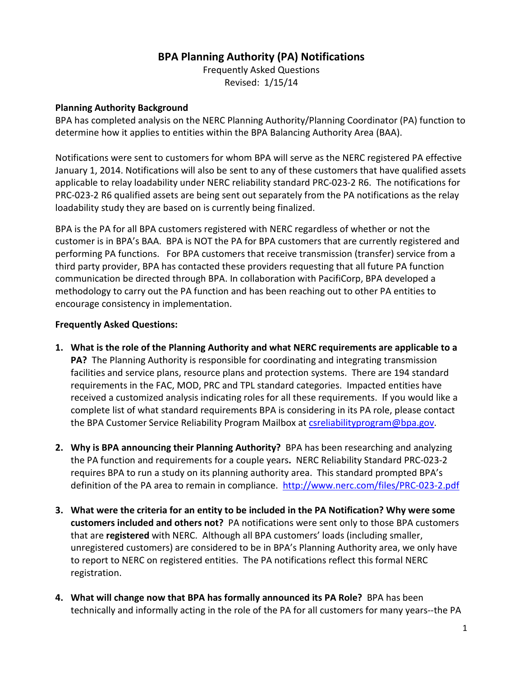## **BPA Planning Authority (PA) Notifications**

Frequently Asked Questions Revised: 1/15/14

## **Planning Authority Background**

BPA has completed analysis on the NERC Planning Authority/Planning Coordinator (PA) function to determine how it applies to entities within the BPA Balancing Authority Area (BAA).

Notifications were sent to customers for whom BPA will serve as the NERC registered PA effective January 1, 2014. Notifications will also be sent to any of these customers that have qualified assets applicable to relay loadability under NERC reliability standard PRC-023-2 R6. The notifications for PRC-023-2 R6 qualified assets are being sent out separately from the PA notifications as the relay loadability study they are based on is currently being finalized.

BPA is the PA for all BPA customers registered with NERC regardless of whether or not the customer is in BPA's BAA. BPA is NOT the PA for BPA customers that are currently registered and performing PA functions. For BPA customers that receive transmission (transfer) service from a third party provider, BPA has contacted these providers requesting that all future PA function communication be directed through BPA. In collaboration with PacifiCorp, BPA developed a methodology to carry out the PA function and has been reaching out to other PA entities to encourage consistency in implementation.

## **Frequently Asked Questions:**

- **1. What is the role of the Planning Authority and what NERC requirements are applicable to a PA?** The Planning Authority is responsible for coordinating and integrating transmission facilities and service plans, resource plans and protection systems. There are 194 standard requirements in the FAC, MOD, PRC and TPL standard categories. Impacted entities have received a customized analysis indicating roles for all these requirements. If you would like a complete list of what standard requirements BPA is considering in its PA role, please contact the BPA Customer Service Reliability Program Mailbox at [csreliabilityprogram@bpa.gov.](mailto:csreliabilityprogram@bpa.gov)
- **2. Why is BPA announcing their Planning Authority?** BPA has been researching and analyzing the PA function and requirements for a couple years**.** NERC Reliability Standard PRC-023-2 requires BPA to run a study on its planning authority area. This standard prompted BPA's definition of the PA area to remain in compliance. <http://www.nerc.com/files/PRC-023-2.pdf>
- **3. What were the criteria for an entity to be included in the PA Notification? Why were some customers included and others not?** PA notifications were sent only to those BPA customers that are **registered** with NERC. Although all BPA customers' loads (including smaller, unregistered customers) are considered to be in BPA's Planning Authority area, we only have to report to NERC on registered entities. The PA notifications reflect this formal NERC registration.
- **4. What will change now that BPA has formally announced its PA Role?** BPA has been technically and informally acting in the role of the PA for all customers for many years--the PA